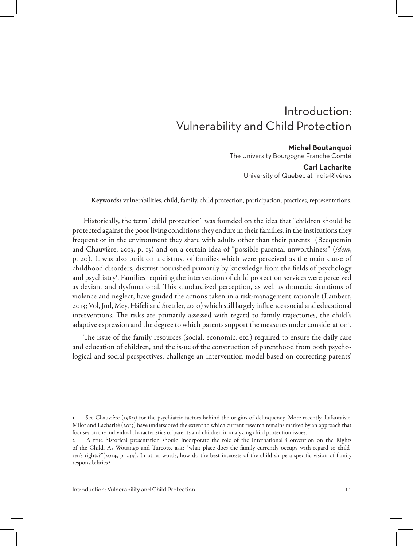# Introduction: Vulnerability and Child Protection

#### **Michel Boutanquoi**

The University Bourgogne Franche Comté

#### **Carl Lacharite** University of Quebec at Trois-Rivères

Keywords: vulnerabilities, child, family, child protection, participation, practices, representations.

Historically, the term "child protection" was founded on the idea that "children should be protected against the poor living conditions they endure in their families, in the institutions they frequent or in the environment they share with adults other than their parents" (Becquemin and Chauvière, 2013, p. 13) and on a certain idea of "possible parental unworthiness" (*idem*, p. 20). It was also built on a distrust of families which were perceived as the main cause of childhood disorders, distrust nourished primarily by knowledge from the fields of psychology and psychiatry<sup>1</sup>. Families requiring the intervention of child protection services were perceived as deviant and dysfunctional. This standardized perception, as well as dramatic situations of violence and neglect, have guided the actions taken in a risk-management rationale (Lambert, 2013; Vol, Jud, Mey, Häfeli and Stettler, 2010) which still largely influences social and educational interventions. The risks are primarily assessed with regard to family trajectories, the child's adaptive expression and the degree to which parents support the measures under consideration $^2$ .

The issue of the family resources (social, economic, etc.) required to ensure the daily care and education of children, and the issue of the construction of parenthood from both psychological and social perspectives, challenge an intervention model based on correcting parents'

See Chauvière (1980) for the psychiatric factors behind the origins of delinquency. More recently, Lafantaisie, Milot and Lacharité (2015) have underscored the extent to which current research remains marked by an approach that focuses on the individual characteristics of parents and children in analyzing child protection issues.

<sup>2</sup> A true historical presentation should incorporate the role of the International Convention on the Rights of the Child. As Wouango and Turcotte ask: "what place does the family currently occupy with regard to children's rights?"(2014, p. 239). In other words, how do the best interests of the child shape a specific vision of family responsibilities?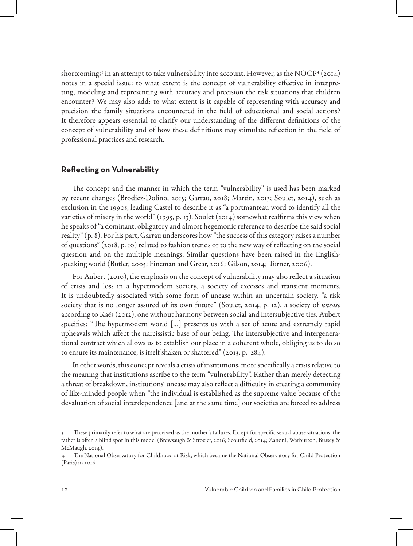shortcomings<sup>3</sup> in an attempt to take vulnerability into account. However, as the NOCP<sup>4</sup> (2014) notes in a special issue: to what extent is the concept of vulnerability effective in interpreting, modeling and representing with accuracy and precision the risk situations that children encounter? We may also add: to what extent is it capable of representing with accuracy and precision the family situations encountered in the field of educational and social actions? It therefore appears essential to clarify our understanding of the different definitions of the concept of vulnerability and of how these definitions may stimulate reflection in the field of professional practices and research.

### **Reflecting on Vulnerability**

The concept and the manner in which the term "vulnerability" is used has been marked by recent changes (Brodiez-Dolino, 2015; Garrau, 2018; Martin, 2013; Soulet, 2014), such as exclusion in the 1990s, leading Castel to describe it as "a portmanteau word to identify all the varieties of misery in the world" (1995, p. 13). Soulet (2014) somewhat reaffirms this view when he speaks of "a dominant, obligatory and almost hegemonic reference to describe the said social reality" (p. 8). For his part, Garrau underscores how "the success of this category raises a number of questions" (2018, p. 10) related to fashion trends or to the new way of reflecting on the social question and on the multiple meanings. Similar questions have been raised in the Englishspeaking world (Butler, 2005; Fineman and Grear, 2016; Gilson, 2014; Turner, 2006).

For Aubert (2010), the emphasis on the concept of vulnerability may also reflect a situation of crisis and loss in a hypermodern society, a society of excesses and transient moments. It is undoubtedly associated with some form of unease within an uncertain society, "a risk society that is no longer assured of its own future" (Soulet, 2014, p. 12), a society of *unease* according to Kaës (2012), one without harmony between social and intersubjective ties. Aubert specifies: "The hypermodern world […] presents us with a set of acute and extremely rapid upheavals which affect the narcissistic base of our being. The intersubjective and intergenerational contract which allows us to establish our place in a coherent whole, obliging us to do so to ensure its maintenance, is itself shaken or shattered" (2013, p. 284).

In other words, this concept reveals a crisis of institutions, more specifically a crisis relative to the meaning that institutions ascribe to the term "vulnerability". Rather than merely detecting a threat of breakdown, institutions' unease may also reflect a difficulty in creating a community of like-minded people when "the individual is established as the supreme value because of the devaluation of social interdependence [and at the same time] our societies are forced to address

These primarily refer to what are perceived as the mother's failures. Except for specific sexual abuse situations, the father is often a blind spot in this model (Brewsaugh & Strozier, 2016; Scourfield, 2014; Zanoni, Warburton, Bussey & McMaugh, 2014).

<sup>4</sup> The National Observatory for Childhood at Risk, which became the National Observatory for Child Protection (Paris) in 2016.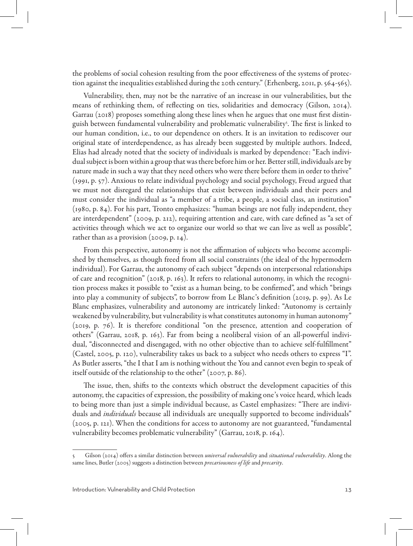the problems of social cohesion resulting from the poor effectiveness of the systems of protection against the inequalities established during the 20th century." (Erhenberg, 2011, p. 564-565).

Vulnerability, then, may not be the narrative of an increase in our vulnerabilities, but the means of rethinking them, of reflecting on ties, solidarities and democracy (Gilson, 2014). Garrau (2018) proposes something along these lines when he argues that one must first distinguish between fundamental vulnerability and problematic vulnerability<sup>s</sup>. The first is linked to our human condition, i.e., to our dependence on others. It is an invitation to rediscover our original state of interdependence, as has already been suggested by multiple authors. Indeed, Elias had already noted that the society of individuals is marked by dependence: "Each individual subject is born within a group that was there before him or her. Better still, individuals are by nature made in such a way that they need others who were there before them in order to thrive" (1991, p. 57). Anxious to relate individual psychology and social psychology, Freud argued that we must not disregard the relationships that exist between individuals and their peers and must consider the individual as "a member of a tribe, a people, a social class, an institution" (1980, p. 84). For his part, Tronto emphasizes: "human beings are not fully independent, they are interdependent" (2009, p. 212), requiring attention and care, with care defined as "a set of activities through which we act to organize our world so that we can live as well as possible", rather than as a provision (2009, p. 14).

From this perspective, autonomy is not the affirmation of subjects who become accomplished by themselves, as though freed from all social constraints (the ideal of the hypermodern individual). For Garrau, the autonomy of each subject "depends on interpersonal relationships of care and recognition" (2018, p. 163). It refers to relational autonomy, in which the recognition process makes it possible to "exist as a human being, to be confirmed", and which "brings into play a community of subjects", to borrow from Le Blanc's definition (2019, p. 99). As Le Blanc emphasizes, vulnerability and autonomy are intricately linked: "Autonomy is certainly weakened by vulnerability, but vulnerability is what constitutes autonomy in human autonomy" (2019, p. 76). It is therefore conditional "on the presence, attention and cooperation of others" (Garrau, 2018, p. 163). Far from being a neoliberal vision of an all-powerful individual, "disconnected and disengaged, with no other objective than to achieve self-fulfillment" (Castel, 2005, p. 120), vulnerability takes us back to a subject who needs others to express "I". As Butler asserts, "the I that I am is nothing without the You and cannot even begin to speak of itself outside of the relationship to the other" (2007, p. 86).

The issue, then, shifts to the contexts which obstruct the development capacities of this autonomy, the capacities of expression, the possibility of making one's voice heard, which leads to being more than just a simple individual because, as Castel emphasizes: "There are individuals and *individuals* because all individuals are unequally supported to become individuals" (2005, p. 121). When the conditions for access to autonomy are not guaranteed, "fundamental vulnerability becomes problematic vulnerability" (Garrau, 2018, p. 164).

<sup>5</sup> Gilson (2014) offers a similar distinction between *universal vulnerability* and *situational vulnerability*. Along the same lines, Butler (2005) suggests a distinction between *precariousness of life* and *precarity*.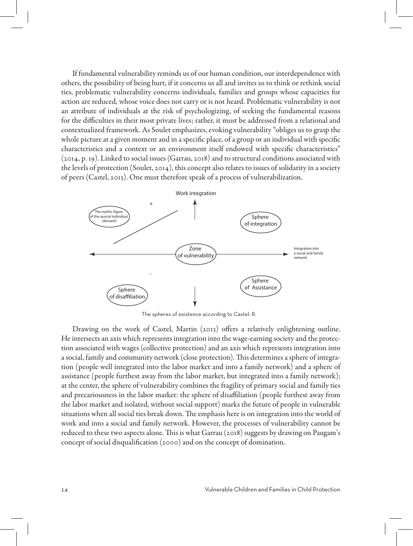If fundamental vulnerability reminds us of our human condition, our interdependence with others, the possibility of being hurt, if it concerns us all and invites us to think or rethink social ties, problematic vulnerability concerns individuals, families and groups whose capacities for action are reduced, whose voice does not carry or is not heard. Problematic vulnerability is not an attribute of individuals at the risk of psychologizing, of seeking the fundamental reasons for the difficulties in their most private lives; rather, it must be addressed from a relational and contextualized framework. As Soulet emphasizes, evoking vulnerability "obliges us to grasp the whole picture at a given moment and in a specific place, of a group or an individual with specific characteristics and a context or an environment itself endowed with specific characteristics" (2014, p. 19). Linked to social issues (Garrau, 2018) and to structural conditions associated with the levels of protection (Soulet, 2014), this concept also relates to issues of solidarity in a society of peers (Castel, 2013). One must therefore speak of a process of vulnerabilization.



The spheres of existence according to Castel. R.

Drawing on the work of Castel, Martin (2013) offers a relatively enlightening outline. He intersects an axis which represents integration into the wage-earning society and the protection associated with wages (collective protection) and an axis which represents integration into a social, family and community network (close protection). This determines a sphere of integration (people well integrated into the labor market and into a family network) and a sphere of assistance (people furthest away from the labor market, but integrated into a family network); at the center, the sphere of vulnerability combines the fragility of primary social and family ties and precariousness in the labor market: the sphere of disaffiliation (people furthest away from the labor market and isolated, without social support) marks the future of people in vulnerable situations when all social ties break down. The emphasis here is on integration into the world of work and into a social and family network. However, the processes of vulnerability cannot be reduced to these two aspects alone. This is what Garrau (2018) suggests by drawing on Paugam's concept of social disqualification (2000) and on the concept of domination.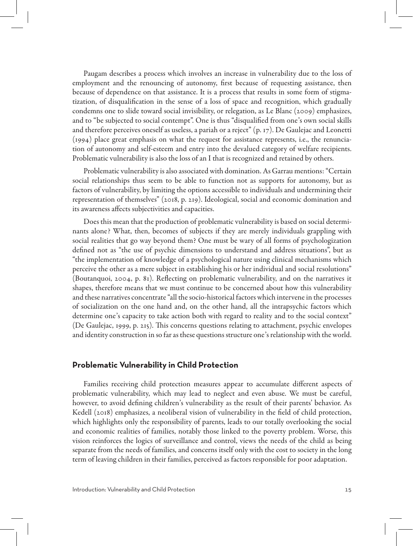Paugam describes a process which involves an increase in vulnerability due to the loss of employment and the renouncing of autonomy, first because of requesting assistance, then because of dependence on that assistance. It is a process that results in some form of stigmatization, of disqualification in the sense of a loss of space and recognition, which gradually condemns one to slide toward social invisibility, or relegation, as Le Blanc (2009) emphasizes, and to "be subjected to social contempt". One is thus "disqualified from one's own social skills and therefore perceives oneself as useless, a pariah or a reject" (p. 17). De Gaulejac and Leonetti (1994) place great emphasis on what the request for assistance represents, i.e., the renunciation of autonomy and self-esteem and entry into the devalued category of welfare recipients. Problematic vulnerability is also the loss of an I that is recognized and retained by others.

Problematic vulnerability is also associated with domination. As Garrau mentions: "Certain social relationships thus seem to be able to function not as supports for autonomy, but as factors of vulnerability, by limiting the options accessible to individuals and undermining their representation of themselves" (2018, p. 219). Ideological, social and economic domination and its awareness affects subjectivities and capacities.

Does this mean that the production of problematic vulnerability is based on social determinants alone? What, then, becomes of subjects if they are merely individuals grappling with social realities that go way beyond them? One must be wary of all forms of psychologization defined not as "the use of psychic dimensions to understand and address situations", but as "the implementation of knowledge of a psychological nature using clinical mechanisms which perceive the other as a mere subject in establishing his or her individual and social resolutions" (Boutanquoi, 2004, p. 81). Reflecting on problematic vulnerability, and on the narratives it shapes, therefore means that we must continue to be concerned about how this vulnerability and these narratives concentrate "all the socio-historical factors which intervene in the processes of socialization on the one hand and, on the other hand, all the intrapsychic factors which determine one's capacity to take action both with regard to reality and to the social context" (De Gaulejac, 1999, p. 215). This concerns questions relating to attachment, psychic envelopes and identity construction in so far as these questions structure one's relationship with the world.

## **Problematic Vulnerability in Child Protection**

Families receiving child protection measures appear to accumulate different aspects of problematic vulnerability, which may lead to neglect and even abuse. We must be careful, however, to avoid defining children's vulnerability as the result of their parents' behavior. As Kedell (2018) emphasizes, a neoliberal vision of vulnerability in the field of child protection, which highlights only the responsibility of parents, leads to our totally overlooking the social and economic realities of families, notably those linked to the poverty problem. Worse, this vision reinforces the logics of surveillance and control, views the needs of the child as being separate from the needs of families, and concerns itself only with the cost to society in the long term of leaving children in their families, perceived as factors responsible for poor adaptation.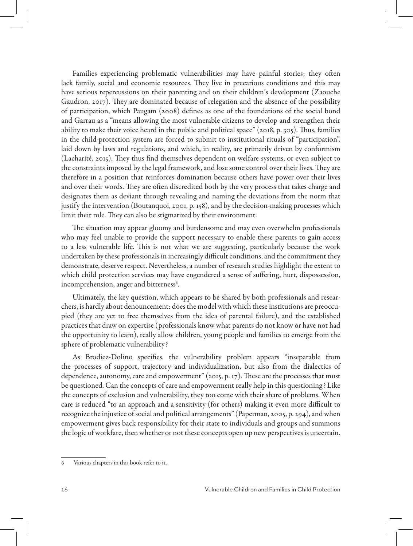Families experiencing problematic vulnerabilities may have painful stories; they often lack family, social and economic resources. They live in precarious conditions and this may have serious repercussions on their parenting and on their children's development (Zaouche Gaudron, 2017). They are dominated because of relegation and the absence of the possibility of participation, which Paugam (2008) defines as one of the foundations of the social bond and Garrau as a "means allowing the most vulnerable citizens to develop and strengthen their ability to make their voice heard in the public and political space" (2018, p. 305). Thus, families in the child-protection system are forced to submit to institutional rituals of "participation", laid down by laws and regulations, and which, in reality, are primarily driven by conformism (Lacharité, 2015). They thus find themselves dependent on welfare systems, or even subject to the constraints imposed by the legal framework, and lose some control over their lives. They are therefore in a position that reinforces domination because others have power over their lives and over their words. They are often discredited both by the very process that takes charge and designates them as deviant through revealing and naming the deviations from the norm that justify the intervention (Boutanquoi, 2001, p. 158), and by the decision-making processes which limit their role. They can also be stigmatized by their environment.

The situation may appear gloomy and burdensome and may even overwhelm professionals who may feel unable to provide the support necessary to enable these parents to gain access to a less vulnerable life. This is not what we are suggesting, particularly because the work undertaken by these professionals in increasingly difficult conditions, and the commitment they demonstrate, deserve respect. Nevertheless, a number of research studies highlight the extent to which child protection services may have engendered a sense of suffering, hurt, dispossession, incomprehension, anger and bitterness<sup>6</sup>.

Ultimately, the key question, which appears to be shared by both professionals and researchers, is hardly about denouncement: does the model with which these institutions are preoccupied (they are yet to free themselves from the idea of parental failure), and the established practices that draw on expertise (professionals know what parents do not know or have not had the opportunity to learn), really allow children, young people and families to emerge from the sphere of problematic vulnerability?

As Brodiez-Dolino specifies, the vulnerability problem appears "inseparable from the processes of support, trajectory and individualization, but also from the dialectics of dependence, autonomy, care and empowerment" (2015, p. 17). These are the processes that must be questioned. Can the concepts of care and empowerment really help in this questioning? Like the concepts of exclusion and vulnerability, they too come with their share of problems. When care is reduced "to an approach and a sensitivity (for others) making it even more difficult to recognize the injustice of social and political arrangements" (Paperman, 2005, p. 294), and when empowerment gives back responsibility for their state to individuals and groups and summons the logic of workfare, then whether or not these concepts open up new perspectives is uncertain.

<sup>6</sup> Various chapters in this book refer to it.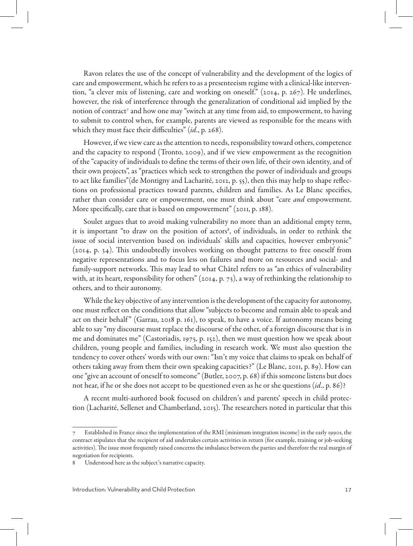Ravon relates the use of the concept of vulnerability and the development of the logics of care and empowerment, which he refers to as a presenteeism regime with a clinical-like intervention, "a clever mix of listening, care and working on oneself." (2014, p. 267). He underlines, however, the risk of interference through the generalization of conditional aid implied by the notion of contract<sup>7</sup> and how one may "switch at any time from aid, to empowerment, to having to submit to control when, for example, parents are viewed as responsible for the means with which they must face their difficulties" (*id*., p. 268).

However, if we view care as the attention to needs, responsibility toward others, competence and the capacity to respond (Tronto, 2009), and if we view empowerment as the recognition of the "capacity of individuals to define the terms of their own life, of their own identity, and of their own projects", as "practices which seek to strengthen the power of individuals and groups to act like families"(de Montigny and Lacharité, 2012, p. 55), then this may help to shape reflections on professional practices toward parents, children and families. As Le Blanc specifies, rather than consider care or empowerment, one must think about "care *and* empowerment. More specifically, care that is based on empowerment" (2011, p. 188).

Soulet argues that to avoid making vulnerability no more than an additional empty term, it is important "to draw on the position of actors<sup>8</sup>, of individuals, in order to rethink the issue of social intervention based on individuals' skills and capacities, however embryonic" (2014, p. 34). This undoubtedly involves working on thought patterns to free oneself from negative representations and to focus less on failures and more on resources and social- and family-support networks. This may lead to what Châtel refers to as "an ethics of vulnerability with, at its heart, responsibility for others" (2014, p. 73), a way of rethinking the relationship to others, and to their autonomy.

While the key objective of any intervention is the development of the capacity for autonomy, one must reflect on the conditions that allow "subjects to become and remain able to speak and act on their behalf" (Garrau, 2018 p. 161), to speak, to have a voice. If autonomy means being able to say "my discourse must replace the discourse of the other, of a foreign discourse that is in me and dominates me" (Castoriadis, 1975, p. 152), then we must question how we speak about children, young people and families, including in research work. We must also question the tendency to cover others' words with our own: "Isn't my voice that claims to speak on behalf of others taking away from them their own speaking capacities?" (Le Blanc, 2011, p. 89). How can one "give an account of oneself to someone" (Butler, 2007, p. 68) if this someone listens but does not hear, if he or she does not accept to be questioned even as he or she questions (*id*., p. 86)?

A recent multi-authored book focused on children's and parents' speech in child protection (Lacharité, Sellenet and Chamberland, 2015). The researchers noted in particular that this

Established in France since the implementation of the RMI (minimum integration income) in the early 1990s, the contract stipulates that the recipient of aid undertakes certain activities in return (for example, training or job-seeking activities). The issue most frequently raised concerns the imbalance between the parties and therefore the real margin of negotiation for recipients.

<sup>8</sup> Understood here as the subject's narrative capacity.